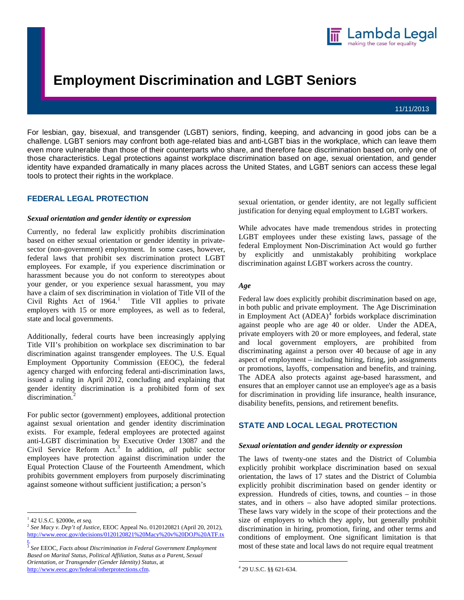

# **Employment Discrimination and LGBT Seniors**

#### 11/11/2013

For lesbian, gay, bisexual, and transgender (LGBT) seniors, finding, keeping, and advancing in good jobs can be a challenge. LGBT seniors may confront both age-related bias and anti-LGBT bias in the workplace, which can leave them even more vulnerable than those of their counterparts who share, and therefore face discrimination based on, only one of those characteristics. Legal protections against workplace discrimination based on age, sexual orientation, and gender identity have expanded dramatically in many places across the United States, and LGBT seniors can access these legal tools to protect their rights in the workplace.

## **FEDERAL LEGAL PROTECTION**

#### *Sexual orientation and gender identity or expression*

Currently, no federal law explicitly prohibits discrimination based on either sexual orientation or gender identity in privatesector (non-government) employment. In some cases, however, federal laws that prohibit sex discrimination protect LGBT employees. For example, if you experience discrimination or harassment because you do not conform to stereotypes about your gender, or you experience sexual harassment, you may have a claim of sex discrimination in violation of Title VII of the Civil Rights Act of  $1964$  $1964$ .<sup>1</sup> Title VII applies to private employers with 15 or more employees, as well as to federal, state and local governments.

Additionally, federal courts have been increasingly applying Title VII's prohibition on workplace sex discrimination to bar discrimination against transgender employees. The U.S. Equal Employment Opportunity Commission (EEOC), the federal agency charged with enforcing federal anti-discrimination laws, issued a ruling in April 2012, concluding and explaining that gender identity discrimination is a prohibited form of sex discrimination.<sup>[2](#page-0-1)</sup>

For public sector (government) employees, additional protection against sexual orientation and gender identity discrimination exists. For example, federal employees are protected against anti-LGBT discrimination by Executive Order 13087 and the Civil Service Reform Act.[3](#page-0-2) In addition, *all* public sector employees have protection against discrimination under the Equal Protection Clause of the Fourteenth Amendment, which prohibits government employers from purposely discriminating against someone without sufficient justification; a person's

 $\overline{a}$ 

sexual orientation, or gender identity, are not legally sufficient justification for denying equal employment to LGBT workers.

While advocates have made tremendous strides in protecting LGBT employees under these existing laws, passage of the federal Employment Non-Discrimination Act would go further by explicitly and unmistakably prohibiting workplace discrimination against LGBT workers across the country.

#### *Age*

Federal law does explicitly prohibit discrimination based on age, in both public and private employment. The Age Discrimination in Employment Act  $(ADEA)^4$  $(ADEA)^4$  forbids workplace discrimination against people who are age 40 or older. Under the ADEA, private employers with 20 or more employees, and federal, state and local government employers, are prohibited from discriminating against a person over 40 because of age in any aspect of employment – including hiring, firing, job assignments or promotions, layoffs, compensation and benefits, and training. The ADEA also protects against age-based harassment, and ensures that an employer cannot use an employee's age as a basis for discrimination in providing life insurance, health insurance, disability benefits, pensions, and retirement benefits.

## **STATE AND LOCAL LEGAL PROTECTION**

#### *Sexual orientation and gender identity or expression*

The laws of twenty-one states and the District of Columbia explicitly prohibit workplace discrimination based on sexual orientation, the laws of 17 states and the District of Columbia explicitly prohibit discrimination based on gender identity or expression. Hundreds of cities, towns, and counties – in those states, and in others – also have adopted similar protections. These laws vary widely in the scope of their protections and the size of employers to which they apply, but generally prohibit discrimination in hiring, promotion, firing, and other terms and conditions of employment. One significant limitation is that most of these state and local laws do not require equal treatment

 $\overline{a}$ 

<span id="page-0-0"></span><sup>1</sup> 42 U.S.C. §2000e, *et seq.*

<span id="page-0-1"></span><sup>2</sup> *See Macy v. Dep't of Justice*, EEOC Appeal No. 0120120821 (April 20, 2012), [http://www.eeoc.gov/decisions/0120120821%20Macy%20v%20DOJ%20ATF.tx](http://www.eeoc.gov/decisions/0120120821%20Macy%20v%20DOJ%20ATF.txt) [t](http://www.eeoc.gov/decisions/0120120821%20Macy%20v%20DOJ%20ATF.txt).

<span id="page-0-3"></span><span id="page-0-2"></span><sup>3</sup> *See* EEOC, *Facts about Discrimination in Federal Government Employment Based on Marital Status, Political Affiliation, Status as a Parent, Sexual Orientation, or Transgender (Gender Identity) Status*, at <http://www.eeoc.gov/federal/otherprotections.cfm>.

<sup>4</sup> 29 U.S.C. §§ 621-634.